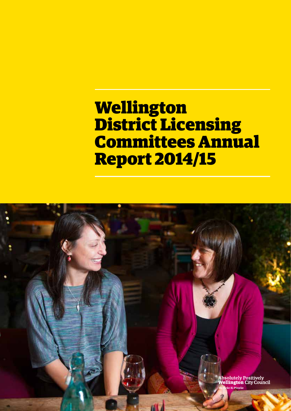## Wellington District Licensing Committees Annual Report 2014/15

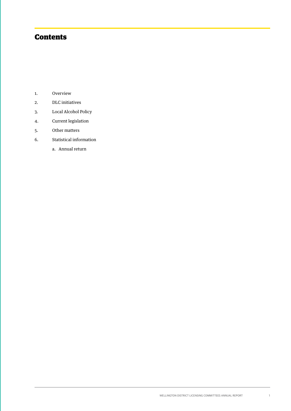### Contents

- 1. Overview
- 2. DLC initiatives
- 3. Local Alcohol Policy
- 4. Current legislation
- 5. Other matters
- 6. Statistical information
	- a. Annual return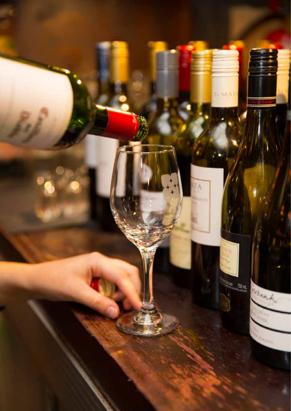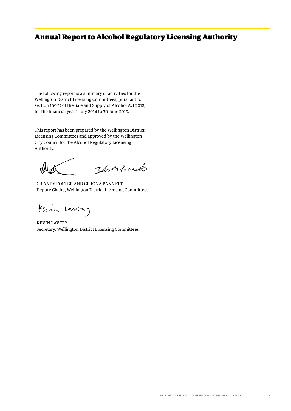### Annual Report to Alcohol Regulatory Licensing Authority

The following report is a summary of activities for the Wellington District Licensing Committees, pursuant to section 199(1) of the Sale and Supply of Alcohol Act 2012, for the financial year 1 July 2014 to 30 June 2015.

This report has been prepared by the Wellington District Licensing Committees and approved by the Wellington City Council for the Alcohol Regulatory Licensing Authority.

Thompsmeth

CR ANDY FOSTER AND CR IONA PANNETT Deputy Chairs, Wellington District Licensing Committees

term Lavery

KEVIN LAVERY Secretary, Wellington District Licensing Committees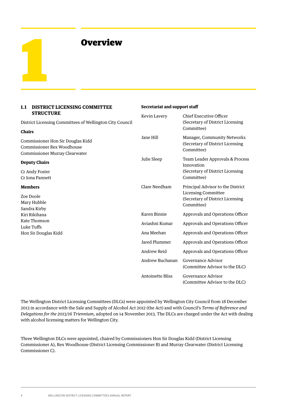# Overview<br>
and Overview<br>
and Overview<br>
and Overview<br>
and Overview<br>
and Overview<br>
and Overview<br>
and Overview<br>
and Overview<br>
and Overview<br>
and Overview<br>
and Overview<br>
and Overview<br>
and Overview<br>
and Overview<br>
and Overview<br>
an

#### **1.1 DISTRICT LICENSING COMMITTEE STRUCTURE**

District Licensing Committees of Wellington City Council

#### **Chairs**

Commissioner Hon Sir Douglas Kidd Commissioner Rex Woodhouse Commissioner Murray Clearwater

#### **Deputy Chairs**

Cr Andy Foster Cr Iona Pannett

#### **Members**

Zoe Doole Mary Hubble Sandra Kirby Kiri Rikihana Kate Thomson Luke Tuffs Hon Sir Douglas Kidd

#### **Secretariat and support staff**

| Kevin Lavery            | <b>Chief Executive Officer</b><br>(Secretary of District Licensing<br>Committee)                                  |
|-------------------------|-------------------------------------------------------------------------------------------------------------------|
| <b>Jane Hill</b>        | Manager, Community Networks<br>(Secretary of District Licensing<br>Committee)                                     |
| Julie Sleep             | Team Leader Approvals & Process<br>Innovation<br>(Secretary of District Licensing<br>Committee)                   |
| Clare Needham           | Principal Advisor to the District<br><b>Licensing Committee</b><br>(Secretary of District Licensing<br>Committee) |
| Karen Binnie            | Approvals and Operations Officer                                                                                  |
| Aviashni Kumar          | Approvals and Operations Officer                                                                                  |
| Ana Meehan              | Approvals and Operations Officer                                                                                  |
| Jared Plummer           | Approvals and Operations Officer                                                                                  |
| Andrew Reid             | Approvals and Operations Officer                                                                                  |
| Andrew Buchanan         | Governance Advisor<br>(Committee Advisor to the DLC)                                                              |
| <b>Antoinette Bliss</b> | Governance Advisor<br>(Committee Advisor to the DLC)                                                              |

The Wellington District Licensing Committees (DLCs) were appointed by Wellington City Council from 18 December 2013 in accordance with the Sale and Supply of Alcohol Act 2012 (the Act) and with Council's *Terms of Reference and Delegations for the 2013/16 Triennium*, adopted on 14 November 2013. The DLCs are charged under the Act with dealing with alcohol licensing matters for Wellington City.

Three Wellington DLCs were appointed, chaired by Commissioners Hon Sir Douglas Kidd (District Licensing Commissioner A), Rex Woodhouse (District Licensing Commissioner B) and Murray Clearwater (District Licensing Commissioner C).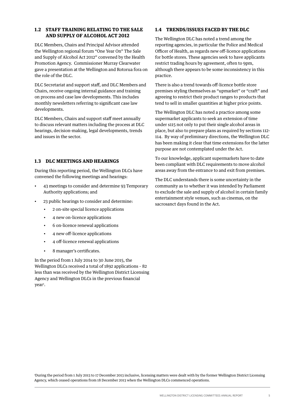#### **1.2 STAFF TRAINING RELATING TO THE SALE AND SUPPLY OF ALCOHOL ACT 2012**

DLC Members, Chairs and Principal Advisor attended the Wellington regional forum "One Year On" The Sale and Supply of Alcohol Act 2012" convened by the Health Promotion Agency. Commissioner Murray Clearwater gave a presentation at the Wellington and Rotorua fora on the role of the DLC.

DLC Secretariat and support staff, and DLC Members and Chairs, receive ongoing internal guidance and training on process and case law developments. This includes monthly newsletters referring to significant case law developments.

DLC Members, Chairs and support staff meet annually to discuss relevant matters including the process at DLC hearings, decision-making, legal developments, trends and issues in the sector.

#### **1.3 DLC MEETINGS AND HEARINGS**

During this reporting period, the Wellington DLCs have convened the following meetings and hearings:

- 43 meetings to consider and determine 93 Temporary Authority applications; and
- 23 public hearings to consider and determine:
	- 2 on-site special licence applications
	- 4 new on-licence applications
	- 6 on-licence renewal applications
	- 4 new off-licence applications
	- 4 off-licence renewal applications
	- 8 manager's certificates.

In the period from 1 July 2014 to 30 June 2015, the Wellington DLCs received a total of 1892 applications – 82 less than was received by the Wellington District Licensing Agency and Wellington DLCs in the previous financial year<sup>1</sup>.

#### **1.4 TRENDS/ISSUES FACED BY THE DLC**

The Wellington DLC has noted a trend among the reporting agencies, in particular the Police and Medical Officer of Health, as regards new off-licence applications for bottle stores. These agencies seek to have applicants restrict trading hours by agreement, often to 9pm, although there appears to be some inconsistency in this practice.

There is also a trend towards off-licence bottle store premises styling themselves as "upmarket" or "craft" and agreeing to restrict their product ranges to products that tend to sell in smaller quantities at higher price points.

The Wellington DLC has noted a practice among some supermarket applicants to seek an extension of time under s115 not only to put their single alcohol areas in place, but also to prepare plans as required by sections 112- 114. By way of preliminary directions, the Wellington DLC has been making it clear that time extensions for the latter purpose are not contemplated under the Act.

To our knowledge, applicant supermarkets have to date been compliant with DLC requirements to move alcohol areas away from the entrance to and exit from premises.

The DLC understands there is some uncertainty in the community as to whether it was intended by Parliament to exclude the sale and supply of alcohol in certain family entertainment style venues, such as cinemas, on the sacrosanct days found in the Act.

1 During the period from 1 July 2013 to 17 December 2013 inclusive, licensing matters were dealt with by the former Wellington District Licensing Agency, which ceased operations from 18 December 2013 when the Wellington DLCs commenced operations.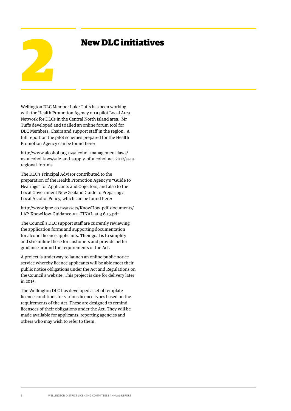# New DLC initiatives

Wellington DLC Member Luke Tuffs has been working with the Health Promotion Agency on a pilot Local Area Network for DLCs in the Central North Island area. Mr Tuffs developed and trialled an online forum tool for DLC Members, Chairs and support staff in the region. A full report on the pilot schemes prepared for the Health Promotion Agency can be found here:

http://www.alcohol.org.nz/alcohol-management-laws/ nz-alcohol-laws/sale-and-supply-of-alcohol-act-2012/ssaaregional-forums

The DLC's Principal Advisor contributed to the preparation of the Health Promotion Agency's "Guide to Hearings" for Applicants and Objectors, and also to the Local Government New Zealand Guide to Preparing a Local Alcohol Policy, which can be found here:

http://www.lgnz.co.nz/assets/KnowHow-pdf-documents/ LAP-KnowHow-Guidance-v11-FINAL-at-3.6.15.pdf

The Council's DLC support staff are currently reviewing the application forms and supporting documentation for alcohol licence applicants. Their goal is to simplify and streamline these for customers and provide better guidance around the requirements of the Act.

A project is underway to launch an online public notice service whereby licence applicants will be able meet their public notice obligations under the Act and Regulations on the Council's website. This project is due for delivery later in 2015.

The Wellington DLC has developed a set of template licence conditions for various licence types based on the requirements of the Act. These are designed to remind licensees of their obligations under the Act. They will be made available for applicants, reporting agencies and others who may wish to refer to them.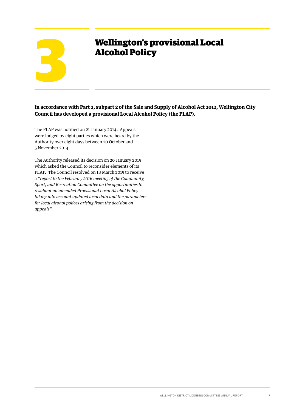### 3 Wellington's provisional Local Alcohol Policy

#### **In accordance with Part 2, subpart 2 of the Sale and Supply of Alcohol Act 2012, Wellington City Council has developed a provisional Local Alcohol Policy (the PLAP).**

The PLAP was notified on 21 January 2014. Appeals were lodged by eight parties which were heard by the Authority over eight days between 20 October and 5 November 2014.

The Authority released its decision on 20 January 2015 which asked the Council to reconsider elements of its PLAP. The Council resolved on 18 March 2015 to receive a *"report to the February 2016 meeting of the Community, Sport, and Recreation Committee on the opportunities to resubmit an amended Provisional Local Alcohol Policy taking into account updated local data and the parameters for local alcohol polices arising from the decision on appeals".*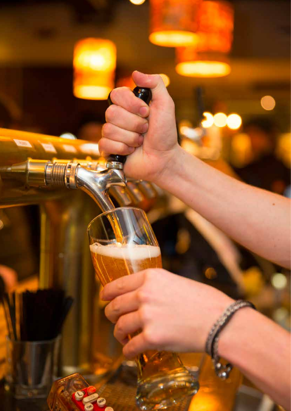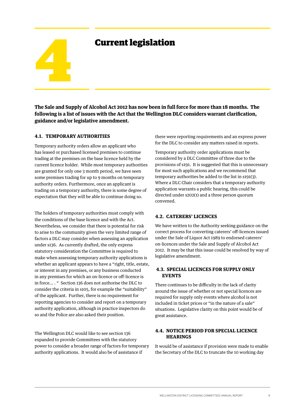# **Current legislation**<br> **Expansion**<br>
<u>Expansion</u>

**The Sale and Supply of Alcohol Act 2012 has now been in full force for more than 18 months. The following is a list of issues with the Act that the Wellington DLC considers warrant clarification, guidance and/or legislative amendment.**

#### **4.1. TEMPORARY AUTHORITIES**

Temporary authority orders allow an applicant who has leased or purchased licensed premises to continue trading at the premises on the base licence held by the current licence holder. While most temporary authorities are granted for only one 3 month period, we have seen some premises trading for up to 9 months on temporary authority orders. Furthermore, once an applicant is trading on a temporary authority, there is some degree of expectation that they will be able to continue doing so.

The holders of temporary authorities must comply with the conditions of the base licence and with the Act. Nevertheless, we consider that there is potential for risk to arise to the community given the very limited range of factors a DLC may consider when assessing an application under s136. As currently drafted, the only express statutory consideration the Committee is required to make when assessing temporary authority applications is whether an applicant appears to have a "right, title, estate, or interest in any premises, or any business conducted in any premises for which an on-licence or off-licence is in force... . " Section 136 does not authorise the DLC to consider the criteria in s105, for example the "suitability" of the applicant. Further, there is no requirement for reporting agencies to consider and report on a temporary authority application, although in practice inspectors do so and the Police are also asked their position.

The Wellington DLC would like to see section 136 expanded to provide Committees with the statutory power to consider a broader range of factors for temporary authority applications. It would also be of assistance if

there were reporting requirements and an express power for the DLC to consider any matters raised in reports.

Temporary authority order applications must be considered by a DLC Committee of three due to the provisions of s191. It is suggested that this is unnecessary for most such applications and we recommend that temporary authorities be added to the list in s191(3). Where a DLC Chair considers that a temporary authority application warrants a public hearing, this could be directed under s202(1) and a three person quorum convened.

#### **4.2. CATERERS' LICENCES**

We have written to the Authority seeking guidance on the correct process for converting caterers' off-licences issued under the Sale of Liquor Act 1989 to endorsed caterers' on-licences under the Sale and Supply of Alcohol Act 2012. It may be that this issue could be resolved by way of legislative amendment.

#### **4.3. SPECIAL LICENCES FOR SUPPLY ONLY EVENTS**

There continues to be difficulty in the lack of clarity around the issue of whether or not special licences are required for supply only events where alcohol is not included in ticket prices or "in the nature of a sale" situations. Legislative clarity on this point would be of great assistance.

#### **4.4. NOTICE PERIOD FOR SPECIAL LICENCE HEARINGS**

It would be of assistance if provision were made to enable the Secretary of the DLC to truncate the 10 working day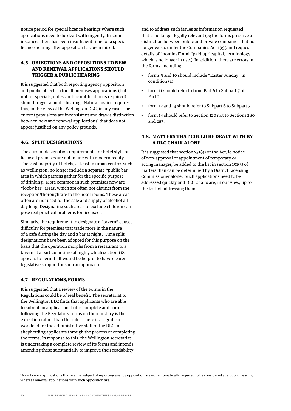notice period for special licence hearings where such applications need to be dealt with urgently. In some instances there has been insufficient time for a special licence hearing after opposition has been raised.

#### **4.5. OBJECTIONS AND OPPOSITIONS TO NEW AND RENEWAL APPLICATIONS SHOULD TRIGGER A PUBLIC HEARING**

It is suggested that both reporting agency opposition and public objection for all premises applications (but not for specials, unless public notification is required) should trigger a public hearing. Natural justice requires this, in the view of the Wellington DLC, in any case. The current provisions are inconsistent and draw a distinction between new and renewal applications<sup>2</sup> that does not appear justified on any policy grounds.

#### **4.6. SPLIT DESIGNATIONS**

The current designation requirements for hotel style on licensed premises are not in line with modern reality. The vast majority of hotels, at least in urban centres such as Wellington, no longer include a separate "public bar" area in which patrons gather for the specific purpose of drinking. More common in such premises now are "lobby bar" areas, which are often not distinct from the reception/thoroughfare to the hotel rooms. These areas often are not used for the sale and supply of alcohol all day long. Designating such areas to exclude children can pose real practical problems for licensees.

Similarly, the requirement to designate a "tavern" causes difficulty for premises that trade more in the nature of a cafe during the day and a bar at night. Time split designations have been adopted for this purpose on the basis that the operation morphs from a restaurant to a tavern at a particular time of night, which section 118 appears to permit. It would be helpful to have clearer legislative support for such an approach.

#### **4.7. REGULATIONS/FORMS**

It is suggested that a review of the Forms in the Regulations could be of real benefit. The secretariat to the Wellington DLC finds that applicants who are able to submit an application that is complete and correct following the Regulatory forms on their first try is the exception rather than the rule. There is a significant workload for the administrative staff of the DLC in shepherding applicants through the process of completing the forms. In response to this, the Wellington secretariat is undertaking a complete review of its forms and intends amending these substantially to improve their readability

and to address such issues as information requested that is no longer legally relevant (eg the forms preserve a distinction between public and private companies that no longer exists under the Companies Act 1993 and request details of "nominal" and "paid up" capital, terminology which is no longer in use.) In addition, there are errors in the forms, including:

- forms 9 and 10 should include "Easter Sunday" in condition (a)
- form 11 should refer to from Part 6 to Subpart 7 of Part<sub>2</sub>
- form 12 and 13 should refer to Subpart 6 to Subpart 7
- form 14 should refer to Section 120 not to Sections 280 and 283.

#### **4.8. MATTERS THAT COULD BE DEALT WITH BY A DLC CHAIR ALONE**

It is suggested that section 231(4) of the Act, ie notice of non-approval of appointment of temporary or acting manager, be added to the list in section 191(3) of matters than can be determined by a District Licensing Commissioner alone. Such applications need to be addressed quickly and DLC Chairs are, in our view, up to the task of addressing them.

<sup>2</sup> New licence applications that are the subject of reporting agency opposition are not automatically required to be considered at a public hearing, whereas renewal applications with such opposition are.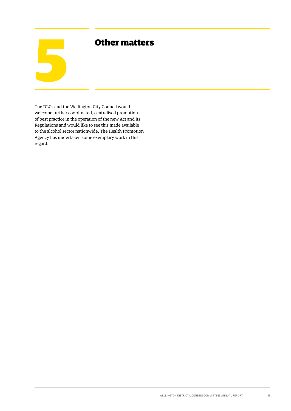# Other matters<br>
and the matters<br>
and the matters<br>
and the matters<br>
and the matters<br>
and the matters<br>
and the matters<br>
and the matters<br>
and the matters<br>
and the matter<br>
in the matter<br>
in the matter<br>
in the matter<br>
in the mat

The DLCs and the Wellington City Council would welcome further coordinated, centralised promotion of best practice in the operation of the new Act and its Regulations and would like to see this made available to the alcohol sector nationwide. The Health Promotion Agency has undertaken some exemplary work in this regard.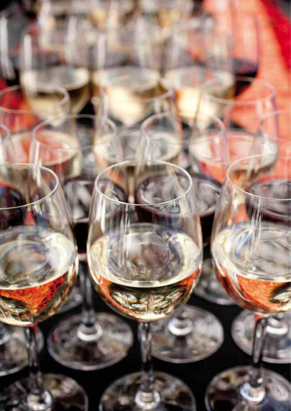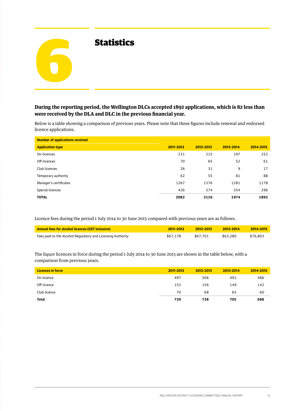# Statistics<br>
Contractor Contractor

#### **During the reporting period, the Wellington DLCs accepted 1892 applications, which is 82 less than were received by the DLA and DLC in the previous financial year.**

Below is a table showing a comparison of previous years. Please note that these figures include renewal and endorsed licence applications.

| <b>Number of applications received</b> |           |           |           |           |
|----------------------------------------|-----------|-----------|-----------|-----------|
| <b>Application type</b>                | 2011-2012 | 2012-2013 | 2013-2014 | 2014-2015 |
| On-licences                            | 231       | 215       | 197       | 252       |
| Off-licences                           | 70        | 65        | 52        | 61        |
| Club licences                          | 26        | 31        | 9         | 17        |
| Temporary authority                    | 62        | 55        | 81        | 88        |
| Manager's certificates                 | 1267      | 1376      | 1281      | 1178      |
| Special licences                       | 426       | 374       | 354       | 296       |
| <b>TOTAL</b>                           | 2082      | 2116      | 1974      | 1892      |

Licence fees during the period 1 July 2014 to 30 June 2015 compared with previous years are as follows.

| Annual fees for alcohol licences (GST inclusive)            | 2011-2012 | 2012-2013 | 2013-2014 | 2014-2015 |
|-------------------------------------------------------------|-----------|-----------|-----------|-----------|
| Fees paid to the Alcohol Regulatory and Licensing Authority | \$67.178  | \$67.701  | \$63.280  | \$76.803  |

The liquor licences in force during the period 1 July 2014 to 30 June 2015 are shown in the table below, with a comparison from previous years.

| Licences in force | 2011-2012 | 2012-2013 | 2013-2014 | 2014-2015 |
|-------------------|-----------|-----------|-----------|-----------|
| On-licence        | 497       | 506       | 491       | 486       |
| Off-licence       | 153       | 156       | 149       | 142       |
| Club licence      | 70        | 68        | 65        | 60        |
| <b>Total</b>      | 720       | 728       | 705       | 688       |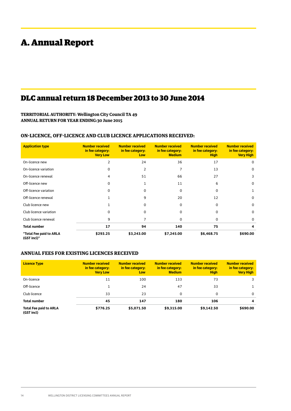### A. Annual Report

### DLC annual return 18 December 2013 to 30 June 2014

**TERRITORIAL AUTHORITY: Wellington City Council TA 49 ANNUAL RETURN FOR YEAR ENDING:30 June 2015**

#### **ON-LICENCE, OFF-LICENCE AND CLUB LICENCE APPLICATIONS RECEIVED:**

| <b>Application type</b>                | <b>Number received</b><br>in fee category:<br><b>Very Low</b> | <b>Number received</b><br>in fee category:<br>Low | <b>Number received</b><br>in fee category:<br><b>Medium</b> | <b>Number received</b><br>in fee category:<br><b>High</b> | <b>Number received</b><br>in fee category:<br><b>Very High</b> |
|----------------------------------------|---------------------------------------------------------------|---------------------------------------------------|-------------------------------------------------------------|-----------------------------------------------------------|----------------------------------------------------------------|
| On-licence new                         |                                                               | 24                                                | 36                                                          | 17                                                        | 0                                                              |
| On-licence variation                   | O                                                             | $\overline{2}$                                    |                                                             | 13                                                        | $\Omega$                                                       |
| On-licence renewal                     | 4                                                             | 51                                                | 66                                                          | 27                                                        | 3                                                              |
| Off-licence new                        | 0                                                             |                                                   | 11                                                          | 6                                                         | $\Omega$                                                       |
| Off-licence variation                  | $\Omega$                                                      | O                                                 | 0                                                           | 0                                                         |                                                                |
| Off-licence renewal                    |                                                               | 9                                                 | 20                                                          | 12                                                        | $\Omega$                                                       |
| Club licence new                       |                                                               | O                                                 | 0                                                           | 0                                                         | $\Omega$                                                       |
| Club licence variation                 | 0                                                             | 0                                                 | 0                                                           | 0                                                         | 0                                                              |
| Club licence renewal                   | 9                                                             |                                                   | 0                                                           | 0                                                         | 0                                                              |
| <b>Total number</b>                    | 17                                                            | 94                                                | 140                                                         | 75                                                        | 4                                                              |
| "Total Fee paid to ARLA<br>(GST incl)" | \$293.25                                                      | \$3,243.00                                        | \$7,245.00                                                  | \$6,468.75                                                | \$690.00                                                       |

#### **ANNUAL FEES FOR EXISTING LICENCES RECEIVED**

| <b>Licence Type</b>                         | <b>Number received</b><br>in fee category:<br><b>Very Low</b> | <b>Number received</b><br>in fee category:<br>Low | <b>Number received</b><br>in fee category:<br><b>Medium</b> | <b>Number received</b><br>in fee category:<br><b>High</b> | <b>Number received</b><br>in fee category:<br><b>Very High</b> |
|---------------------------------------------|---------------------------------------------------------------|---------------------------------------------------|-------------------------------------------------------------|-----------------------------------------------------------|----------------------------------------------------------------|
| On-licence                                  | 11                                                            | 100                                               | 133                                                         | 73                                                        |                                                                |
| Off-licence                                 |                                                               | 24                                                | 47                                                          | 33                                                        |                                                                |
| Club licence                                | 33                                                            | 23                                                | 0                                                           | 0                                                         | $\Omega$                                                       |
| <b>Total number</b>                         | 45                                                            | 147                                               | 180                                                         | 106                                                       | 4                                                              |
| <b>Total Fee paid to ARLA</b><br>(GST incl) | \$776.25                                                      | \$5,071.50                                        | \$9,315.00                                                  | \$9,142.50                                                | \$690.00                                                       |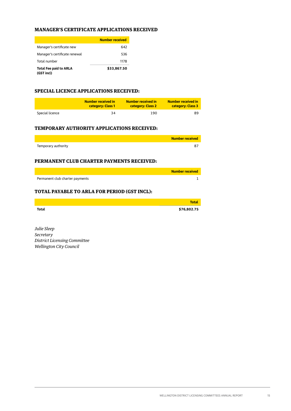#### **MANAGER'S CERTIFICATE APPLICATIONS RECEIVED**

|                                             | <b>Number received</b> |
|---------------------------------------------|------------------------|
| Manager's certificate new                   | 642                    |
| Manager's certificate renewal               | 536                    |
| Total number                                | 1178                   |
| <b>Total Fee paid to ARLA</b><br>(GST incl) | \$33,867.50            |

#### **SPECIAL LICENCE APPLICATIONS RECEIVED:**

|                 | <b>Number received in</b> | Number received in       | <b>Number received in</b> |
|-----------------|---------------------------|--------------------------|---------------------------|
|                 | category: Class 1         | <b>category: Class 2</b> | category: Class 3         |
| Special licence | 34                        | 190                      | 89                        |

#### **TEMPORARY AUTHORITY APPLICATIONS RECEIVED:**

|                     | <b>Number received</b> |
|---------------------|------------------------|
| Temporary authority |                        |

#### **PERMANENT CLUB CHARTER PAYMENTS RECEIVED:**

|                                 | Number received |
|---------------------------------|-----------------|
| Permanent club charter payments |                 |

#### **TOTAL PAYABLE TO ARLA FOR PERIOD (GST INCL):**

|              | <b>Total</b> |
|--------------|--------------|
| <b>Total</b> | \$76,802.75  |

*Julie Sleep Secretary District Licensing Committee Wellington City Council*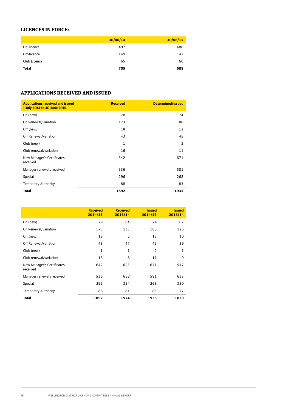#### **LICENCES IN FORCE:**

|              | 30/06/14 | 30/06/15 |
|--------------|----------|----------|
| On-licence   | 497      | 486      |
| Off-licence  | 149      | 142      |
| Club Licence | 65       | 60       |
| <b>Total</b> | 705      | 688      |

#### **APPLICATIONS RECEIVED AND ISSUED**

| <b>Applications received and issued</b><br>1 July 2014 to 30 June 2015 | <b>Received</b> | <b>Determined/Issued</b> |
|------------------------------------------------------------------------|-----------------|--------------------------|
| On (new)                                                               | 78              | 74                       |
| On Renewal/variation                                                   | 173             | 188                      |
| Off (new)                                                              | 18              | 12                       |
| Off Renewal/variation                                                  | 43              | 45                       |
| Club (new)                                                             | $\mathbf{1}$    | 2                        |
| Club renewal/variation                                                 | 16              | 11                       |
| New Manager's Certificates<br>received                                 | 642             | 671                      |
| Manager renewals received                                              | 536             | 581                      |
| Special                                                                | 296             | 268                      |
| <b>Temporary Authority</b>                                             | 88              | 83                       |
| <b>Total</b>                                                           | 1892            | 1935                     |

|                                        | <b>Received</b><br>2014/15 | <b>Received</b><br>2013/14 | <b>Issued</b><br>2014/15 | <b>Issued</b><br>2013/14 |
|----------------------------------------|----------------------------|----------------------------|--------------------------|--------------------------|
| On (new)                               | 79                         | 64                         | 74                       | 67                       |
| On Renewal/variation                   | 173                        | 133                        | 188                      | 126                      |
| Off (new)                              | 18                         | 5                          | 12                       | 10                       |
| Off Renewal/variation                  | 43                         | 47                         | 45                       | 39                       |
| Club (new)                             | 1                          | 1                          | $\overline{2}$           | $\mathbf{1}$             |
| Club renewal/variation                 | 16                         | 8                          | 11                       | 9                        |
| New Manager's Certificates<br>received | 642                        | 623                        | 671                      | 547                      |
| Manager renewals received              | 536                        | 658                        | 581                      | 633                      |
| Special                                | 296                        | 354                        | 268                      | 330                      |
| <b>Temporary Authority</b>             | 88                         | 81                         | 83                       | 77                       |
| <b>Total</b>                           | 1892                       | 1974                       | 1935                     | 1839                     |